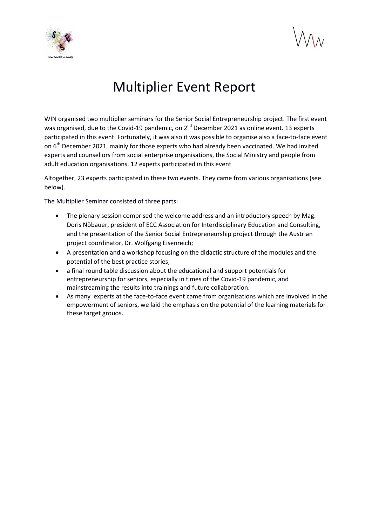

## Multiplier Event Report

WIN organised two multiplier seminars for the Senior Social Entrepreneurship project. The first event was organised, due to the Covid-19 pandemic, on 2<sup>nd</sup> December 2021 as online event. 13 experts participated in this event. Fortunately, it was also it was possible to organise also a face-to-face event on 6<sup>th</sup> December 2021, mainly for those experts who had already been vaccinated. We had invited experts and counsellors from social enterprise organisations, the Social Ministry and people from adult education organisations. 12 experts participated in this event

Altogether, 23 experts participated in these two events. They came from various organisations (see below).

The Multiplier Seminar consisted of three parts:

- The plenary session comprised the welcome address and an introductory speech by Mag. Doris Nöbauer, president of ECC Association for Interdisciplinary Education and Consulting, and the presentation of the Senior Social Entrepreneurship project through the Austrian project coordinator, Dr. Wolfgang Eisenreich;
- A presentation and a workshop focusing on the didactic structure of the modules and the potential of the best practice stories;
- a final round table discussion about the educational and support potentials for entrepreneurship for seniors, especially in times of the Covid-19 pandemic, and mainstreaming the results into trainings and future collaboration.
- As many experts at the face-to-face event came from organisations which are involved in the empowerment of seniors, we laid the emphasis on the potential of the learning materials for these target grouos.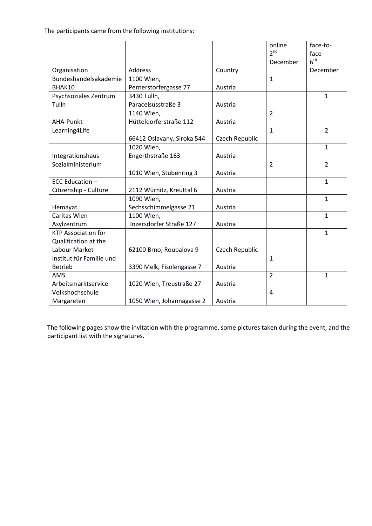The participants came from the following institutions:

|                            |                            |                | online          | face-to-        |
|----------------------------|----------------------------|----------------|-----------------|-----------------|
|                            |                            |                | 2 <sup>nd</sup> | face            |
|                            |                            |                | December        | 6 <sup>th</sup> |
| Organisation               | Address                    | Country        |                 | December        |
| Bundeshandelsakademie      | 1100 Wien,                 |                | $\mathbf{1}$    |                 |
| BHAK10                     | Pernerstorfergasse 77      | Austria        |                 |                 |
| Psychsoziales Zentrum      | 3430 Tulln,                |                |                 | $\mathbf{1}$    |
| Tulln                      | Paracelsusstraße 3         | Austria        |                 |                 |
|                            | 1140 Wien,                 |                | $\overline{2}$  |                 |
| AHA-Punkt                  | Hütteldorferstraße 112     | Austria        |                 |                 |
| Learning4Life              |                            |                | $\mathbf{1}$    | $\overline{2}$  |
|                            | 66412 Oslavany, Siroka 544 | Czech Republic |                 |                 |
|                            | 1020 Wien,                 |                |                 | $\mathbf{1}$    |
| Integrationshaus           | Engerthstraße 163          | Austria        |                 |                 |
| Sozialministerium          |                            |                | $\overline{2}$  | $\overline{2}$  |
|                            | 1010 Wien, Stubenring 3    | Austria        |                 |                 |
| ECC Education -            |                            |                |                 | $\mathbf{1}$    |
| Citizenship - Culture      | 2112 Würnitz, Kreuttal 6   | Austria        |                 |                 |
|                            | 1090 Wien,                 |                |                 | $\mathbf{1}$    |
| Hemayat                    | Sechsschimmelgasse 21      | Austria        |                 |                 |
| Caritas Wien               | 1100 Wien,                 |                |                 | $\mathbf{1}$    |
| Asylzentrum                | Inzersdorfer Straße 127    | Austria        |                 |                 |
| <b>KTP Association for</b> |                            |                |                 | $\mathbf{1}$    |
| Qualification at the       |                            |                |                 |                 |
| Labour Market              | 62100 Brno, Roubalova 9    | Czech Republic |                 |                 |
| Institut für Familie und   |                            |                | $\mathbf{1}$    |                 |
| <b>Betrieb</b>             | 3390 Melk, Fisolengasse 7  | Austria        |                 |                 |
| <b>AMS</b>                 |                            |                | $\overline{2}$  | $\mathbf{1}$    |
| Arbeitsmarktservice        | 1020 Wien, Treustraße 27   | Austria        |                 |                 |
| Volkshochschule            |                            |                | 4               |                 |
| Margareten                 | 1050 Wien, Johannagasse 2  | Austria        |                 |                 |

The following pages show the invitation with the programme, some pictures taken during the event, and the participant list with the signatures.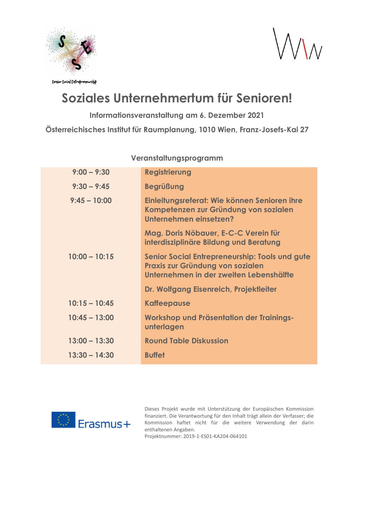

 $\Lambda$ 

Senior Social Entrepreneurship

## **Soziales Unternehmertum für Senioren!**

**Informationsveranstaltung am 6. Dezember 2021**

**Österreichisches Institut für Raumplanung, 1010 Wien, Franz-Josefs-Kai 27**

## **Veranstaltungsprogramm**

| $9:00 - 9:30$   | <b>Registrierung</b>                                                                                                                 |
|-----------------|--------------------------------------------------------------------------------------------------------------------------------------|
| $9:30 - 9:45$   | <b>Begrüßung</b>                                                                                                                     |
| $9:45 - 10:00$  | Einleitungsreferat: Wie können Senioren ihre<br>Kompetenzen zur Gründung von sozialen<br>Unternehmen einsetzen?                      |
|                 | Mag. Doris Nöbauer, E-C-C Verein für<br>interdisziplinäre Bildung und Beratung                                                       |
| $10:00 - 10:15$ | <b>Senior Social Entrepreneurship: Tools und gute</b><br>Praxis zur Gründung von sozialen<br>Unternehmen in der zweiten Lebenshälfte |
|                 | Dr. Wolfgang Eisenreich, Projektleiter                                                                                               |
| $10:15 - 10:45$ | <b>Kaffeepause</b>                                                                                                                   |
| $10:45 - 13:00$ | Workshop und Präsentation der Trainings-<br>unterlagen                                                                               |
| $13:00 - 13:30$ | <b>Round Table Diskussion</b>                                                                                                        |
| $13:30 - 14:30$ | <b>Buffet</b>                                                                                                                        |



Dieses Projekt wurde mit Unterstützung der Europäischen Kommission finanziert. Die Verantwortung für den Inhalt trägt allein der Verfasser; die Kommission haftet nicht für die weitere Verwendung der darin enthaltenen Angaben.

Projektnummer: 2019-1-ES01-KA204-064101